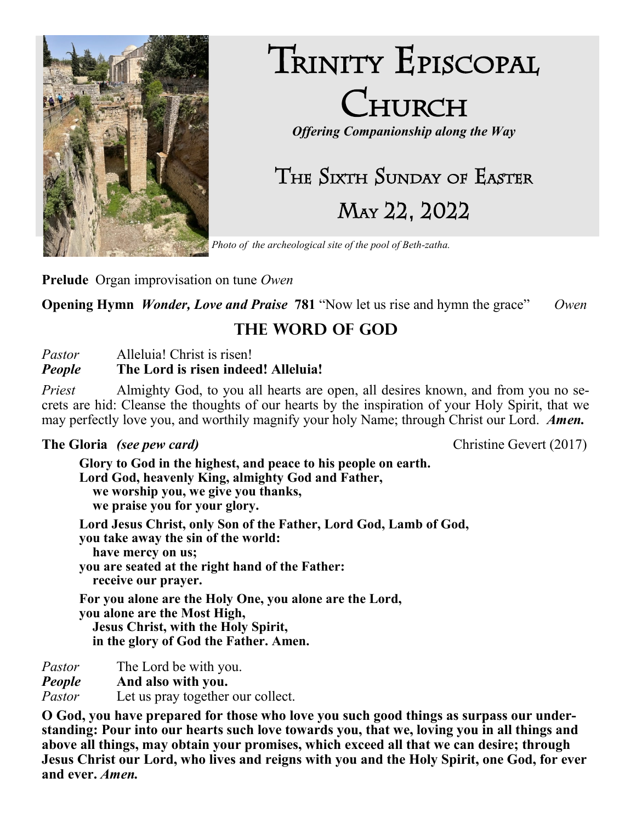

# TRINITY EPISCOPAL CHURCH

*Offering Companionship along the Way*

# The Sixth Sunday of Easter May 22, 2022

*Photo of the archeological site of the pool of Beth-zatha.*

**Prelude** Organ improvisation on tune *Owen*

**Opening Hymn** *Wonder, Love and Praise* **781** "Now let us rise and hymn the grace"*Owen*

# **The Word of God**

*Pastor* Alleluia! Christ is risen!

#### *People* **The Lord is risen indeed! Alleluia!**

*Priest* Almighty God, to you all hearts are open, all desires known, and from you no secrets are hid: Cleanse the thoughts of our hearts by the inspiration of your Holy Spirit, that we may perfectly love you, and worthily magnify your holy Name; through Christ our Lord. *Amen.*

#### **The Gloria** *(see pew card)* Christine Gevert (2017)

**Glory to God in the highest, and peace to his people on earth. Lord God, heavenly King, almighty God and Father, we worship you, we give you thanks, we praise you for your glory. Lord Jesus Christ, only Son of the Father, Lord God, Lamb of God, you take away the sin of the world: have mercy on us; you are seated at the right hand of the Father: receive our prayer. For you alone are the Holy One, you alone are the Lord, you alone are the Most High, Jesus Christ, with the Holy Spirit, in the glory of God the Father. Amen.** 

*Pastor* The Lord be with you.

*People* **And also with you.**

*Pastor* Let us pray together our collect.

**O God, you have prepared for those who love you such good things as surpass our understanding: Pour into our hearts such love towards you, that we, loving you in all things and above all things, may obtain your promises, which exceed all that we can desire; through Jesus Christ our Lord, who lives and reigns with you and the Holy Spirit, one God, for ever and ever.** *Amen.*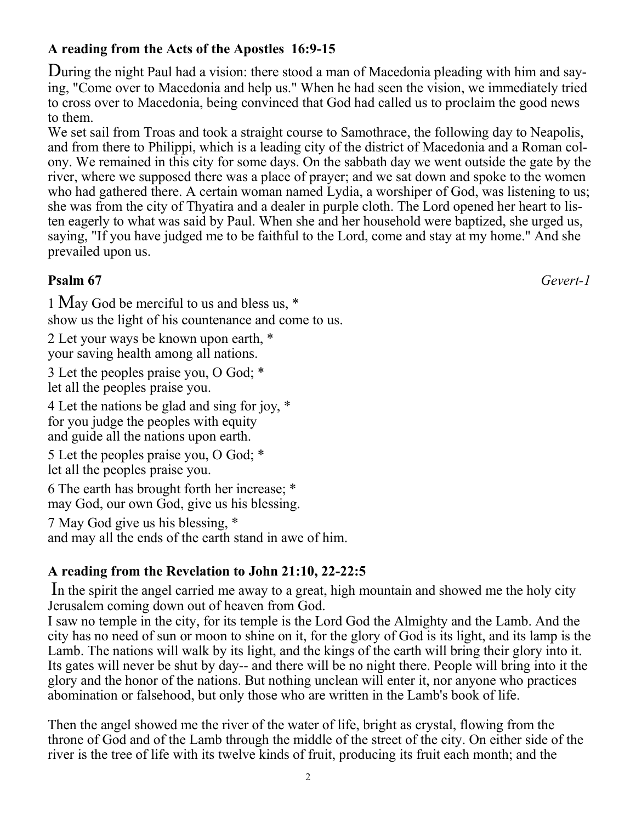## **A reading from the Acts of the Apostles 16:9-15**

During the night Paul had a vision: there stood a man of Macedonia pleading with him and saying, "Come over to Macedonia and help us." When he had seen the vision, we immediately tried to cross over to Macedonia, being convinced that God had called us to proclaim the good news to them.

We set sail from Troas and took a straight course to Samothrace, the following day to Neapolis, and from there to Philippi, which is a leading city of the district of Macedonia and a Roman colony. We remained in this city for some days. On the sabbath day we went outside the gate by the river, where we supposed there was a place of prayer; and we sat down and spoke to the women who had gathered there. A certain woman named Lydia, a worshiper of God, was listening to us; she was from the city of Thyatira and a dealer in purple cloth. The Lord opened her heart to listen eagerly to what was said by Paul. When she and her household were baptized, she urged us, saying, "If you have judged me to be faithful to the Lord, come and stay at my home." And she prevailed upon us.

#### **Psalm 67** *Gevert-1*

1 May God be merciful to us and bless us, \* show us the light of his countenance and come to us.

2 Let your ways be known upon earth, \* your saving health among all nations.

3 Let the peoples praise you, O God; \* let all the peoples praise you.

4 Let the nations be glad and sing for joy, \* for you judge the peoples with equity and guide all the nations upon earth.

5 Let the peoples praise you, O God; \* let all the peoples praise you.

6 The earth has brought forth her increase; \* may God, our own God, give us his blessing.

7 May God give us his blessing, \*

and may all the ends of the earth stand in awe of him.

#### **A reading from the Revelation to John 21:10, 22-22:5**

In the spirit the angel carried me away to a great, high mountain and showed me the holy city Jerusalem coming down out of heaven from God.

I saw no temple in the city, for its temple is the Lord God the Almighty and the Lamb. And the city has no need of sun or moon to shine on it, for the glory of God is its light, and its lamp is the Lamb. The nations will walk by its light, and the kings of the earth will bring their glory into it. Its gates will never be shut by day-- and there will be no night there. People will bring into it the glory and the honor of the nations. But nothing unclean will enter it, nor anyone who practices abomination or falsehood, but only those who are written in the Lamb's book of life.

Then the angel showed me the river of the water of life, bright as crystal, flowing from the throne of God and of the Lamb through the middle of the street of the city. On either side of the river is the tree of life with its twelve kinds of fruit, producing its fruit each month; and the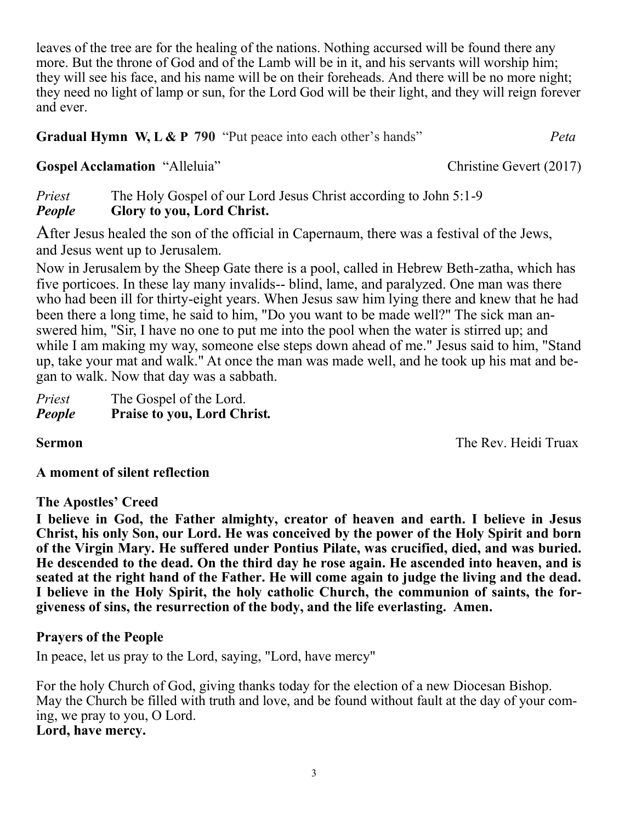leaves of the tree are for the healing of the nations. Nothing accursed will be found there any more. But the throne of God and of the Lamb will be in it, and his servants will worship him; they will see his face, and his name will be on their foreheads. And there will be no more night; they need no light of lamp or sun, for the Lord God will be their light, and they will reign forever and ever.

**Gradual Hymn W, L & P 790** "Put peace into each other's hands" *Peta*

Gospel Acclamation "Alleluia" Christine Gevert (2017)

*Priest* The Holy Gospel of our Lord Jesus Christ according to John 5:1-9 *People* **Glory to you, Lord Christ.**

After Jesus healed the son of the official in Capernaum, there was a festival of the Jews, and Jesus went up to Jerusalem.

Now in Jerusalem by the Sheep Gate there is a pool, called in Hebrew Beth-zatha, which has five porticoes. In these lay many invalids-- blind, lame, and paralyzed. One man was there who had been ill for thirty-eight years. When Jesus saw him lying there and knew that he had been there a long time, he said to him, "Do you want to be made well?" The sick man answered him, "Sir, I have no one to put me into the pool when the water is stirred up; and while I am making my way, someone else steps down ahead of me." Jesus said to him, "Stand up, take your mat and walk." At once the man was made well, and he took up his mat and began to walk. Now that day was a sabbath.

| Priest | The Gospel of the Lord.            |
|--------|------------------------------------|
| People | <b>Praise to you, Lord Christ.</b> |

**Sermon** The Rev. Heidi Truax

#### **A moment of silent reflection**

#### **The Apostles' Creed**

**I believe in God, the Father almighty, creator of heaven and earth. I believe in Jesus Christ, his only Son, our Lord. He was conceived by the power of the Holy Spirit and born of the Virgin Mary. He suffered under Pontius Pilate, was crucified, died, and was buried. He descended to the dead. On the third day he rose again. He ascended into heaven, and is seated at the right hand of the Father. He will come again to judge the living and the dead. I believe in the Holy Spirit, the holy catholic Church, the communion of saints, the forgiveness of sins, the resurrection of the body, and the life everlasting. Amen.**

#### **Prayers of the People**

In peace, let us pray to the Lord, saying, "Lord, have mercy"

For the holy Church of God, giving thanks today for the election of a new Diocesan Bishop. May the Church be filled with truth and love, and be found without fault at the day of your coming, we pray to you, O Lord. **Lord, have mercy.**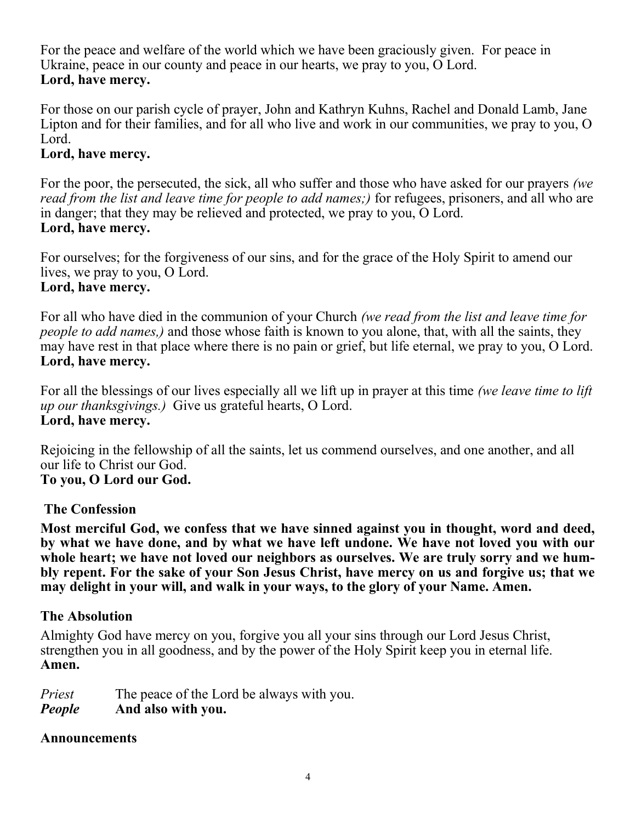For the peace and welfare of the world which we have been graciously given. For peace in Ukraine, peace in our county and peace in our hearts, we pray to you, O Lord. **Lord, have mercy.**

For those on our parish cycle of prayer, John and Kathryn Kuhns, Rachel and Donald Lamb, Jane Lipton and for their families, and for all who live and work in our communities, we pray to you, O Lord.

#### **Lord, have mercy.**

For the poor, the persecuted, the sick, all who suffer and those who have asked for our prayers *(we read from the list and leave time for people to add names;)* for refugees, prisoners, and all who are in danger; that they may be relieved and protected, we pray to you, O Lord. **Lord, have mercy.**

For ourselves; for the forgiveness of our sins, and for the grace of the Holy Spirit to amend our lives, we pray to you, O Lord. **Lord, have mercy.**

For all who have died in the communion of your Church *(we read from the list and leave time for people to add names,)* and those whose faith is known to you alone, that, with all the saints, they may have rest in that place where there is no pain or grief, but life eternal, we pray to you, O Lord. **Lord, have mercy.**

For all the blessings of our lives especially all we lift up in prayer at this time *(we leave time to lift up our thanksgivings.)* Give us grateful hearts, O Lord. **Lord, have mercy.**

Rejoicing in the fellowship of all the saints, let us commend ourselves, and one another, and all our life to Christ our God. **To you, O Lord our God.**

#### **The Confession**

**Most merciful God, we confess that we have sinned against you in thought, word and deed, by what we have done, and by what we have left undone. We have not loved you with our whole heart; we have not loved our neighbors as ourselves. We are truly sorry and we humbly repent. For the sake of your Son Jesus Christ, have mercy on us and forgive us; that we may delight in your will, and walk in your ways, to the glory of your Name. Amen.**

#### **The Absolution**

Almighty God have mercy on you, forgive you all your sins through our Lord Jesus Christ, strengthen you in all goodness, and by the power of the Holy Spirit keep you in eternal life. **Amen.**

*Priest* The peace of the Lord be always with you. *People* **And also with you.**

#### **Announcements**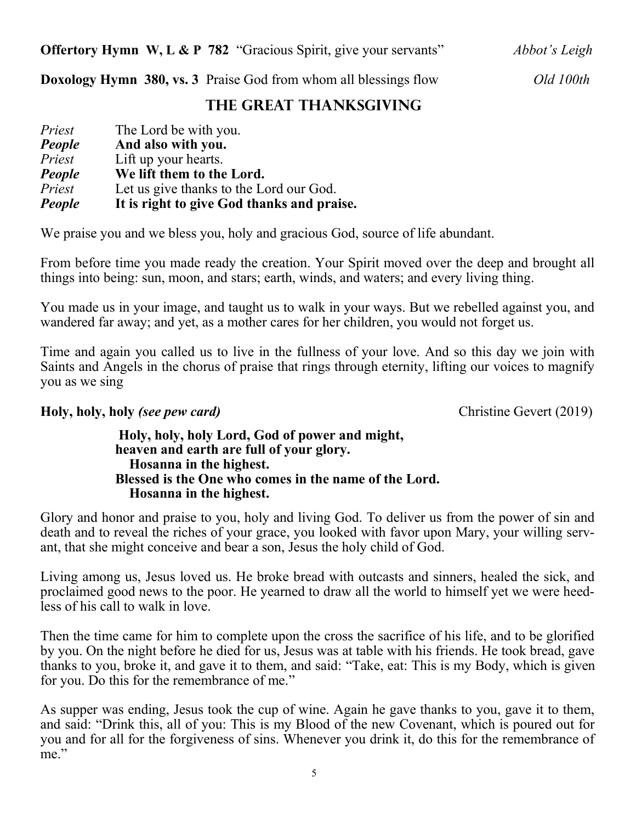**Doxology Hymn 380, vs. 3** Praise God from whom all blessings flow *Old 100th*

### **The Great Thanksgiving**

| Priest | The Lord be with you.                      |
|--------|--------------------------------------------|
| People | And also with you.                         |
| Priest | Lift up your hearts.                       |
| People | We lift them to the Lord.                  |
| Priest | Let us give thanks to the Lord our God.    |
| People | It is right to give God thanks and praise. |

We praise you and we bless you, holy and gracious God, source of life abundant.

From before time you made ready the creation. Your Spirit moved over the deep and brought all things into being: sun, moon, and stars; earth, winds, and waters; and every living thing.

You made us in your image, and taught us to walk in your ways. But we rebelled against you, and wandered far away; and yet, as a mother cares for her children, you would not forget us.

Time and again you called us to live in the fullness of your love. And so this day we join with Saints and Angels in the chorus of praise that rings through eternity, lifting our voices to magnify you as we sing

#### **Holy, holy, holy** *(see pew card)* Christine Gevert (2019)

#### **Holy, holy, holy Lord, God of power and might, heaven and earth are full of your glory. Hosanna in the highest. Blessed is the One who comes in the name of the Lord. Hosanna in the highest.**

Glory and honor and praise to you, holy and living God. To deliver us from the power of sin and death and to reveal the riches of your grace, you looked with favor upon Mary, your willing servant, that she might conceive and bear a son, Jesus the holy child of God.

Living among us, Jesus loved us. He broke bread with outcasts and sinners, healed the sick, and proclaimed good news to the poor. He yearned to draw all the world to himself yet we were heedless of his call to walk in love.

Then the time came for him to complete upon the cross the sacrifice of his life, and to be glorified by you. On the night before he died for us, Jesus was at table with his friends. He took bread, gave thanks to you, broke it, and gave it to them, and said: "Take, eat: This is my Body, which is given for you. Do this for the remembrance of me."

As supper was ending, Jesus took the cup of wine. Again he gave thanks to you, gave it to them, and said: "Drink this, all of you: This is my Blood of the new Covenant, which is poured out for you and for all for the forgiveness of sins. Whenever you drink it, do this for the remembrance of me."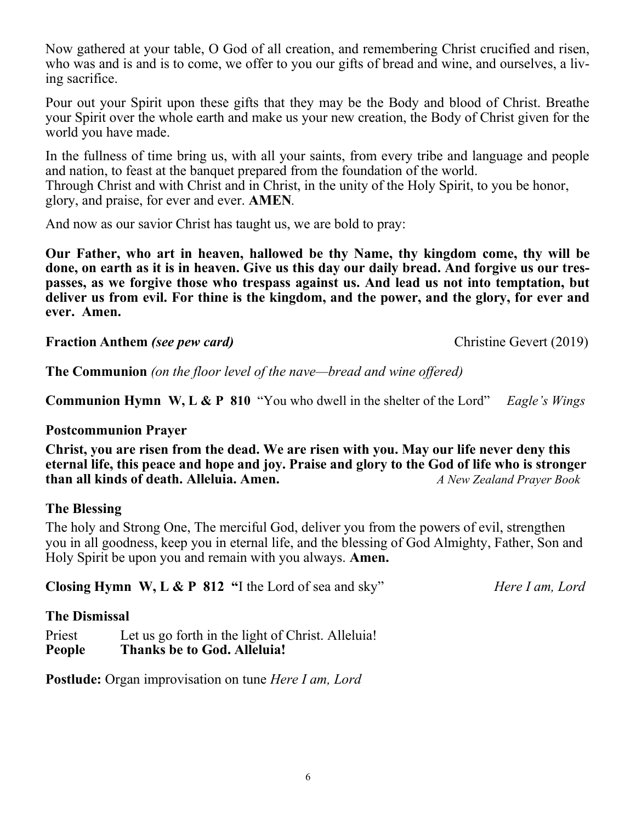Now gathered at your table, O God of all creation, and remembering Christ crucified and risen, who was and is and is to come, we offer to you our gifts of bread and wine, and ourselves, a living sacrifice.

Pour out your Spirit upon these gifts that they may be the Body and blood of Christ. Breathe your Spirit over the whole earth and make us your new creation, the Body of Christ given for the world you have made.

In the fullness of time bring us, with all your saints, from every tribe and language and people and nation, to feast at the banquet prepared from the foundation of the world. Through Christ and with Christ and in Christ, in the unity of the Holy Spirit, to you be honor, glory, and praise, for ever and ever. **AMEN***.*

And now as our savior Christ has taught us, we are bold to pray:

**Our Father, who art in heaven, hallowed be thy Name, thy kingdom come, thy will be done, on earth as it is in heaven. Give us this day our daily bread. And forgive us our trespasses, as we forgive those who trespass against us. And lead us not into temptation, but deliver us from evil. For thine is the kingdom, and the power, and the glory, for ever and ever. Amen.**

**Fraction Anthem** *(see pew card)* Christine Gevert (2019)

**The Communion** *(on the floor level of the nave—bread and wine offered)*

**Communion Hymn W, L & P 810** "You who dwell in the shelter of the Lord" *Eagle's Wings*

#### **Postcommunion Prayer**

**Christ, you are risen from the dead. We are risen with you. May our life never deny this eternal life, this peace and hope and joy. Praise and glory to the God of life who is stronger than all kinds of death. Alleluia. Amen.** *A New Zealand Prayer Book* 

#### **The Blessing**

The holy and Strong One, The merciful God, deliver you from the powers of evil, strengthen you in all goodness, keep you in eternal life, and the blessing of God Almighty, Father, Son and Holy Spirit be upon you and remain with you always. **Amen.**

**Closing Hymn W, L & P 812 "**I the Lord of sea and sky" *Here I am, Lord*

#### **The Dismissal**

Priest Let us go forth in the light of Christ. Alleluia! **People Thanks be to God. Alleluia!**

**Postlude:** Organ improvisation on tune *Here I am, Lord*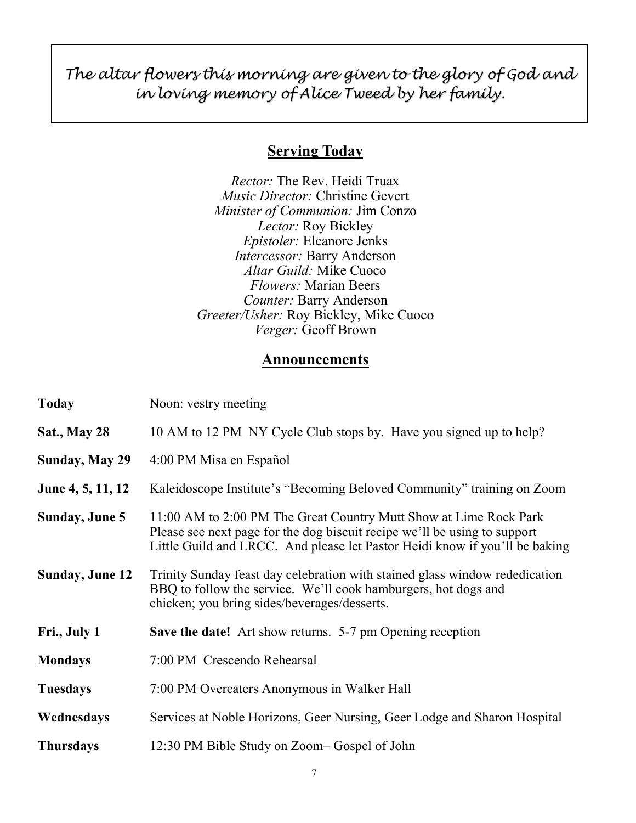*The altar flowers this morning are given to the glory of God and in loving memory of Alice Tweed by her family.*

#### **Serving Today**

*Rector:* The Rev. Heidi Truax *Music Director:* Christine Gevert *Minister of Communion:* Jim Conzo *Lector:* Roy Bickley *Epistoler:* Eleanore Jenks *Intercessor:* Barry Anderson *Altar Guild:* Mike Cuoco *Flowers:* Marian Beers *Counter:* Barry Anderson *Greeter/Usher:* Roy Bickley, Mike Cuoco *Verger:* Geoff Brown

#### **Announcements**

| <b>Today</b>           | Noon: vestry meeting                                                                                                                                                                                                          |
|------------------------|-------------------------------------------------------------------------------------------------------------------------------------------------------------------------------------------------------------------------------|
| <b>Sat., May 28</b>    | 10 AM to 12 PM NY Cycle Club stops by. Have you signed up to help?                                                                                                                                                            |
| <b>Sunday, May 29</b>  | 4:00 PM Misa en Español                                                                                                                                                                                                       |
| June 4, 5, 11, 12      | Kaleidoscope Institute's "Becoming Beloved Community" training on Zoom                                                                                                                                                        |
| Sunday, June 5         | 11:00 AM to 2:00 PM The Great Country Mutt Show at Lime Rock Park<br>Please see next page for the dog biscuit recipe we'll be using to support<br>Little Guild and LRCC. And please let Pastor Heidi know if you'll be baking |
| <b>Sunday, June 12</b> | Trinity Sunday feast day celebration with stained glass window rededication<br>BBQ to follow the service. We'll cook hamburgers, hot dogs and<br>chicken; you bring sides/beverages/desserts.                                 |
| Fri., July 1           | <b>Save the date!</b> Art show returns. 5-7 pm Opening reception                                                                                                                                                              |
| <b>Mondays</b>         | 7:00 PM Crescendo Rehearsal                                                                                                                                                                                                   |
| <b>Tuesdays</b>        | 7:00 PM Overeaters Anonymous in Walker Hall                                                                                                                                                                                   |
| Wednesdays             | Services at Noble Horizons, Geer Nursing, Geer Lodge and Sharon Hospital                                                                                                                                                      |
| <b>Thursdays</b>       | 12:30 PM Bible Study on Zoom–Gospel of John                                                                                                                                                                                   |